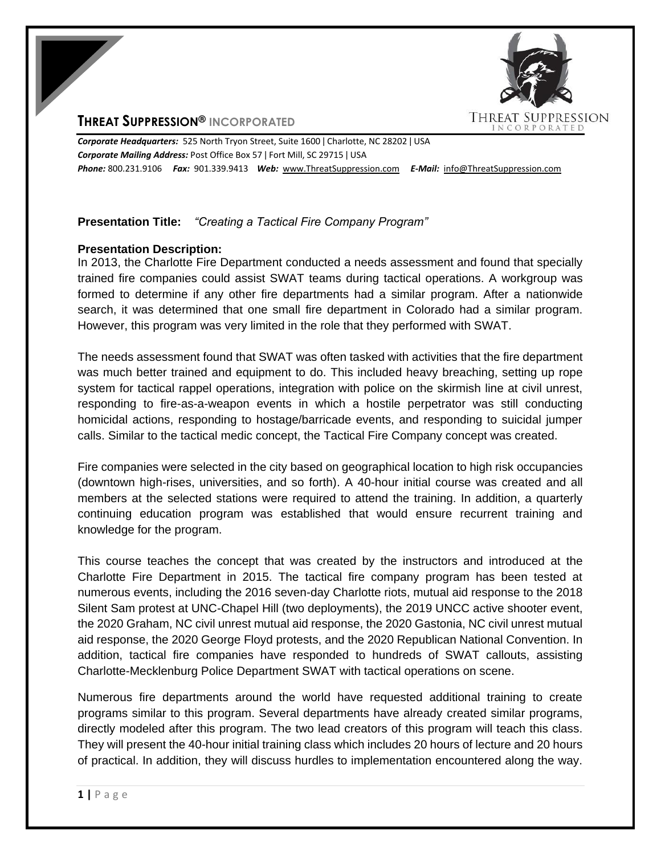# **THREAT SUPPRESSION® INCORPORATED**



*Corporate Headquarters:* 525 North Tryon Street, Suite 1600 ǀ Charlotte, NC 28202 ǀ USA *Corporate Mailing Address:* Post Office Box 57 ǀ Fort Mill, SC 29715 ǀ USA *Phone:* 800.231.9106 *Fax:* 901.339.9413 *Web:* www.ThreatSuppression.com *E-Mail:* info@ThreatSuppression.com

## **Presentation Title:** *"Creating a Tactical Fire Company Program"*

## **Presentation Description:**

In 2013, the Charlotte Fire Department conducted a needs assessment and found that specially trained fire companies could assist SWAT teams during tactical operations. A workgroup was formed to determine if any other fire departments had a similar program. After a nationwide search, it was determined that one small fire department in Colorado had a similar program. However, this program was very limited in the role that they performed with SWAT.

The needs assessment found that SWAT was often tasked with activities that the fire department was much better trained and equipment to do. This included heavy breaching, setting up rope system for tactical rappel operations, integration with police on the skirmish line at civil unrest, responding to fire-as-a-weapon events in which a hostile perpetrator was still conducting homicidal actions, responding to hostage/barricade events, and responding to suicidal jumper calls. Similar to the tactical medic concept, the Tactical Fire Company concept was created.

Fire companies were selected in the city based on geographical location to high risk occupancies (downtown high-rises, universities, and so forth). A 40-hour initial course was created and all members at the selected stations were required to attend the training. In addition, a quarterly continuing education program was established that would ensure recurrent training and knowledge for the program.

This course teaches the concept that was created by the instructors and introduced at the Charlotte Fire Department in 2015. The tactical fire company program has been tested at numerous events, including the 2016 seven-day Charlotte riots, mutual aid response to the 2018 Silent Sam protest at UNC-Chapel Hill (two deployments), the 2019 UNCC active shooter event, the 2020 Graham, NC civil unrest mutual aid response, the 2020 Gastonia, NC civil unrest mutual aid response, the 2020 George Floyd protests, and the 2020 Republican National Convention. In addition, tactical fire companies have responded to hundreds of SWAT callouts, assisting Charlotte-Mecklenburg Police Department SWAT with tactical operations on scene.

Numerous fire departments around the world have requested additional training to create programs similar to this program. Several departments have already created similar programs, directly modeled after this program. The two lead creators of this program will teach this class. They will present the 40-hour initial training class which includes 20 hours of lecture and 20 hours of practical. In addition, they will discuss hurdles to implementation encountered along the way.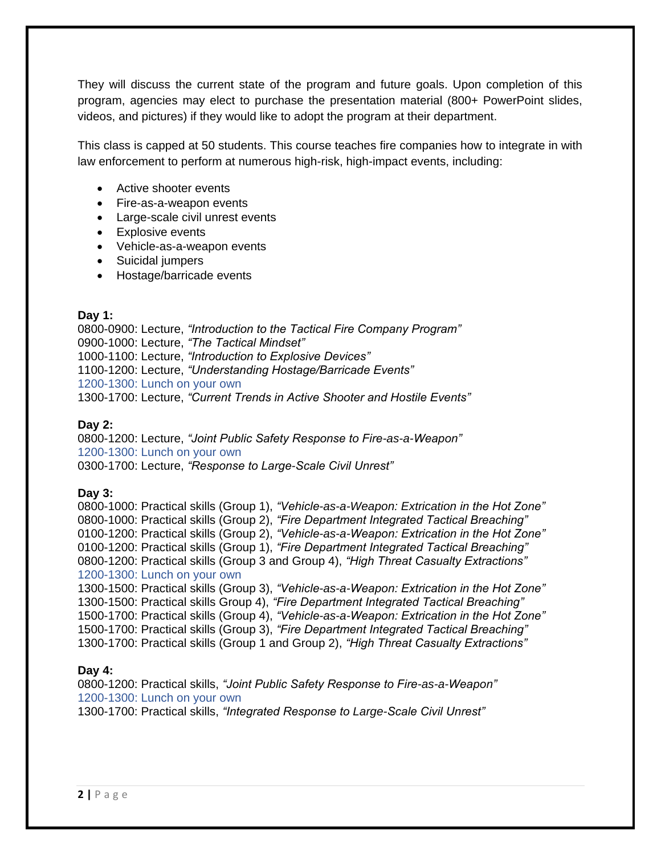They will discuss the current state of the program and future goals. Upon completion of this program, agencies may elect to purchase the presentation material (800+ PowerPoint slides, videos, and pictures) if they would like to adopt the program at their department.

This class is capped at 50 students. This course teaches fire companies how to integrate in with law enforcement to perform at numerous high-risk, high-impact events, including:

- Active shooter events
- Fire-as-a-weapon events
- Large-scale civil unrest events
- Explosive events
- Vehicle-as-a-weapon events
- Suicidal jumpers
- Hostage/barricade events

### **Day 1:**

0800-0900: Lecture, *"Introduction to the Tactical Fire Company Program"* 0900-1000: Lecture, *"The Tactical Mindset"* 1000-1100: Lecture, *"Introduction to Explosive Devices"* 1100-1200: Lecture, *"Understanding Hostage/Barricade Events"* 1200-1300: Lunch on your own 1300-1700: Lecture, *"Current Trends in Active Shooter and Hostile Events"*

## **Day 2:**

0800-1200: Lecture, *"Joint Public Safety Response to Fire-as-a-Weapon"* 1200-1300: Lunch on your own 0300-1700: Lecture, *"Response to Large-Scale Civil Unrest"*

#### **Day 3:**

0800-1000: Practical skills (Group 1), *"Vehicle-as-a-Weapon: Extrication in the Hot Zone"* 0800-1000: Practical skills (Group 2), *"Fire Department Integrated Tactical Breaching"* 0100-1200: Practical skills (Group 2), *"Vehicle-as-a-Weapon: Extrication in the Hot Zone"* 0100-1200: Practical skills (Group 1), *"Fire Department Integrated Tactical Breaching"* 0800-1200: Practical skills (Group 3 and Group 4), *"High Threat Casualty Extractions"* 1200-1300: Lunch on your own

1300-1500: Practical skills (Group 3), *"Vehicle-as-a-Weapon: Extrication in the Hot Zone"* 1300-1500: Practical skills Group 4), *"Fire Department Integrated Tactical Breaching"* 1500-1700: Practical skills (Group 4), *"Vehicle-as-a-Weapon: Extrication in the Hot Zone"* 1500-1700: Practical skills (Group 3), *"Fire Department Integrated Tactical Breaching"* 1300-1700: Practical skills (Group 1 and Group 2), *"High Threat Casualty Extractions"*

## **Day 4:**

0800-1200: Practical skills, *"Joint Public Safety Response to Fire-as-a-Weapon"* 1200-1300: Lunch on your own 1300-1700: Practical skills, *"Integrated Response to Large-Scale Civil Unrest"*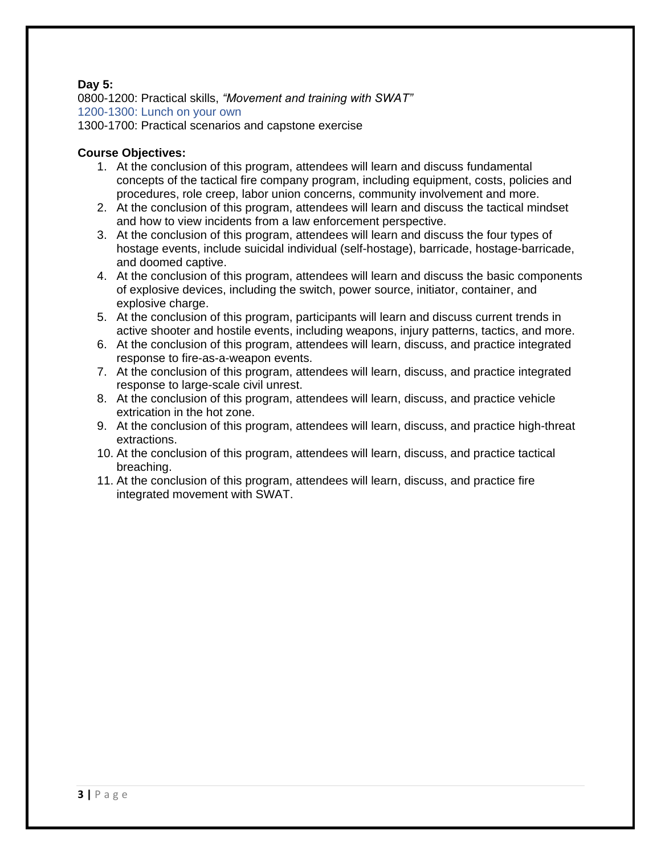## **Day 5:**

0800-1200: Practical skills, *"Movement and training with SWAT"* 1200-1300: Lunch on your own 1300-1700: Practical scenarios and capstone exercise

## **Course Objectives:**

- 1. At the conclusion of this program, attendees will learn and discuss fundamental concepts of the tactical fire company program, including equipment, costs, policies and procedures, role creep, labor union concerns, community involvement and more.
- 2. At the conclusion of this program, attendees will learn and discuss the tactical mindset and how to view incidents from a law enforcement perspective.
- 3. At the conclusion of this program, attendees will learn and discuss the four types of hostage events, include suicidal individual (self-hostage), barricade, hostage-barricade, and doomed captive.
- 4. At the conclusion of this program, attendees will learn and discuss the basic components of explosive devices, including the switch, power source, initiator, container, and explosive charge.
- 5. At the conclusion of this program, participants will learn and discuss current trends in active shooter and hostile events, including weapons, injury patterns, tactics, and more.
- 6. At the conclusion of this program, attendees will learn, discuss, and practice integrated response to fire-as-a-weapon events.
- 7. At the conclusion of this program, attendees will learn, discuss, and practice integrated response to large-scale civil unrest.
- 8. At the conclusion of this program, attendees will learn, discuss, and practice vehicle extrication in the hot zone.
- 9. At the conclusion of this program, attendees will learn, discuss, and practice high-threat extractions.
- 10. At the conclusion of this program, attendees will learn, discuss, and practice tactical breaching.
- 11. At the conclusion of this program, attendees will learn, discuss, and practice fire integrated movement with SWAT.